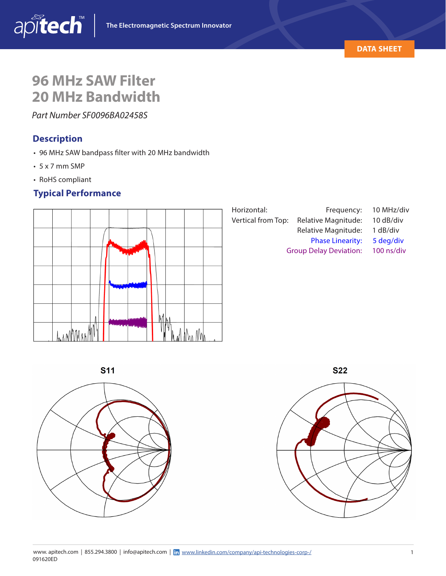

# **96 MHz SAW Filter 20 MHz Bandwidth**

*Part Number SF0096BA02458S*

### **Description**

- 96 MHz SAW bandpass filter with 20 MHz bandwidth
- $\cdot$  5 x 7 mm SMP
- RoHS compliant

# **Typical Performance**







**S22** 

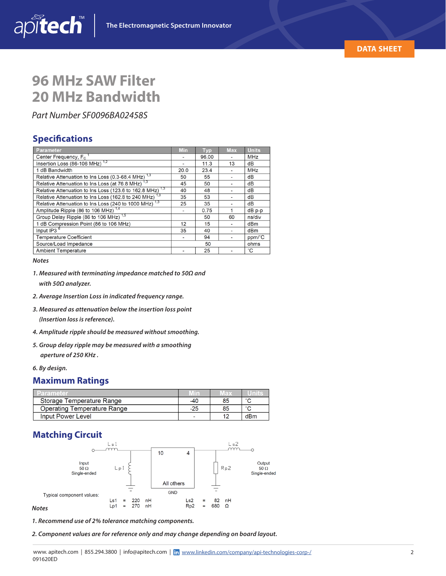

# **96 MHz SAW Filter 20 MHz Bandwidth**

*Part Number SF0096BA02458S*

#### **Specifications**

apitech

| Parameter                                                            | <b>Min</b> | <b>Typ</b> | <b>Max</b> | <b>Units</b>    |
|----------------------------------------------------------------------|------------|------------|------------|-----------------|
| Center Frequency, F <sub>c</sub>                                     |            | 96.00      |            | <b>MHz</b>      |
| Insertion Loss $(86-106 \text{ MHz})$ <sup>1,2</sup>                 |            | 11.3       | 13         | dВ              |
| 1 dB Bandwidth                                                       | 20.0       | 23.4       | ٠          | <b>MHz</b>      |
| Relative Attenuation to Ins Loss (0.3-68.4 MHz) <sup>1,3</sup>       | 50         | 55         |            | dВ              |
| Relative Attenuation to Ins Loss (at 76.8 MHz) <sup>1,3</sup>        | 45         | 50         |            | dB              |
| Relative Attenuation to Ins Loss (123.6 to 162.8 MHz) <sup>1,3</sup> | 40         | 48         | ۰          | dB              |
| Relative Attenuation to Ins Loss (162.8 to 240 MHz) <sup>1,3</sup>   | 35         | 53         |            | dВ              |
| Relative Attenuation to Ins Loss (240 to 1000 MHz) <sup>1,3</sup>    | 25         | 35         |            | dВ              |
| Amplitude Ripple (86 to 106 MHz) <sup>1,4</sup>                      |            | 0.75       |            | dB p-p          |
| Group Delay Ripple (86 to 106 MHz) <sup>1,5</sup>                    |            | 50         | 60         | ns/div          |
| 1 dB Compression Point (86 to 106 MHz)                               | 12         | 15         |            | dB <sub>m</sub> |
| Input $IP3^6$                                                        | 35         | 40         |            | dB <sub>m</sub> |
| <b>Temperature Coefficient</b>                                       |            | 94         |            | ppm/°C          |
| Source/Load Impedance                                                | 50<br>ohms |            |            |                 |
| <b>Ambient Temperature</b>                                           |            | 25         |            | °С              |

#### *Notes*

*1. Measured with terminating impedance matched to 50Ω and*

 *with 50Ω analyzer.*

- *2. Average Insertion Loss in indicated frequency range.*
- *3. Measured as attenuation below the insertion loss point*

 *(Insertion loss is reference).*

- *4. Amplitude ripple should be measured without smoothing.*
- *5. Group delay ripple may be measured with a smoothing aperture of 250 KHz .*
- *6. By design.*

#### **Maximum Ratings**

| Parameter                          | VIin           | $18\times$ | umrs   |
|------------------------------------|----------------|------------|--------|
| Storage Temperature Range          | -40            | 85         | $\sim$ |
| <b>Operating Temperature Range</b> | $-25$          | 85         | $\sim$ |
| Input Power Level                  | $\overline{a}$ | 40         | dBm    |

### **Matching Circuit**



*1. Recommend use of 2% tolerance matching components.*

*2. Component values are for reference only and may change depending on board layout.*